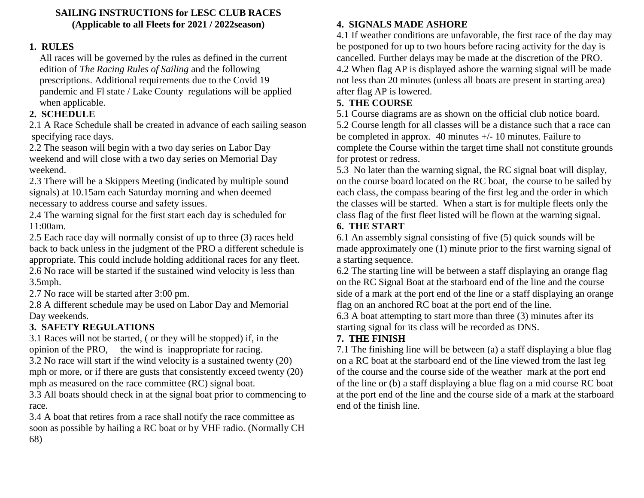#### **SAILING INSTRUCTIONS for LESC CLUB RACES (Applicable to all Fleets for 2021 / 2022season)**

### **1. RULES**

All races will be governed by the rules as defined in the current edition of *The Racing Rules of Sailing* and the following prescriptions. Additional requirements due to the Covid 19 pandemic and Fl state / Lake County regulations will be applied when applicable.

## **2. SCHEDULE**

2.1 A Race Schedule shall be created in advance of each sailing season specifying race days.

2.2 The season will begin with a two day series on Labor Day weekend and will close with a two day series on Memorial Day weekend.

2.3 There will be a Skippers Meeting (indicated by multiple sound signals) at 10.15am each Saturday morning and when deemed necessary to address course and safety issues.

2.4 The warning signal for the first start each day is scheduled for 11:00am.

2.5 Each race day will normally consist of up to three (3) races held back to back unless in the judgment of the PRO a different schedule is appropriate. This could include holding additional races for any fleet. 2.6 No race will be started if the sustained wind velocity is less than 3.5mph.

2.7 No race will be started after 3:00 pm.

2.8 A different schedule may be used on Labor Day and Memorial Day weekends.

# **3. SAFETY REGULATIONS**

3.1 Races will not be started, ( or they will be stopped) if, in the opinion of the PRO, the wind is inappropriate for racing.

3.2 No race will start if the wind velocity is a sustained twenty (20) mph or more, or if there are gusts that consistently exceed twenty (20) mph as measured on the race committee (RC) signal boat.

3.3 All boats should check in at the signal boat prior to commencing to race.

3.4 A boat that retires from a race shall notify the race committee as soon as possible by hailing a RC boat or by VHF radio. (Normally CH 68)

## **4. SIGNALS MADE ASHORE**

4.1 If weather conditions are unfavorable, the first race of the day may be postponed for up to two hours before racing activity for the day is cancelled. Further delays may be made at the discretion of the PRO. 4.2 When flag AP is displayed ashore the warning signal will be made not less than 20 minutes (unless all boats are present in starting area) after flag AP is lowered.

### **5. THE COURSE**

5.1 Course diagrams are as shown on the official club notice board. 5.2 Course length for all classes will be a distance such that a race can be completed in approx. 40 minutes  $+/- 10$  minutes. Failure to complete the Course within the target time shall not constitute grounds for protest or redress.

5.3 No later than the warning signal, the RC signal boat will display, on the course board located on the RC boat, the course to be sailed by each class, the compass bearing of the first leg and the order in which the classes will be started. When a start is for multiple fleets only the class flag of the first fleet listed will be flown at the warning signal.

### **6. THE START**

6.1 An assembly signal consisting of five (5) quick sounds will be made approximately one (1) minute prior to the first warning signal of a starting sequence.

6.2 The starting line will be between a staff displaying an orange flag on the RC Signal Boat at the starboard end of the line and the course side of a mark at the port end of the line or a staff displaying an orange flag on an anchored RC boat at the port end of the line.

6.3 A boat attempting to start more than three (3) minutes after its starting signal for its class will be recorded as DNS.

## **7. THE FINISH**

7.1 The finishing line will be between (a) a staff displaying a blue flag on a RC boat at the starboard end of the line viewed from the last leg of the course and the course side of the weather mark at the port end of the line or (b) a staff displaying a blue flag on a mid course RC boat at the port end of the line and the course side of a mark at the starboard end of the finish line.